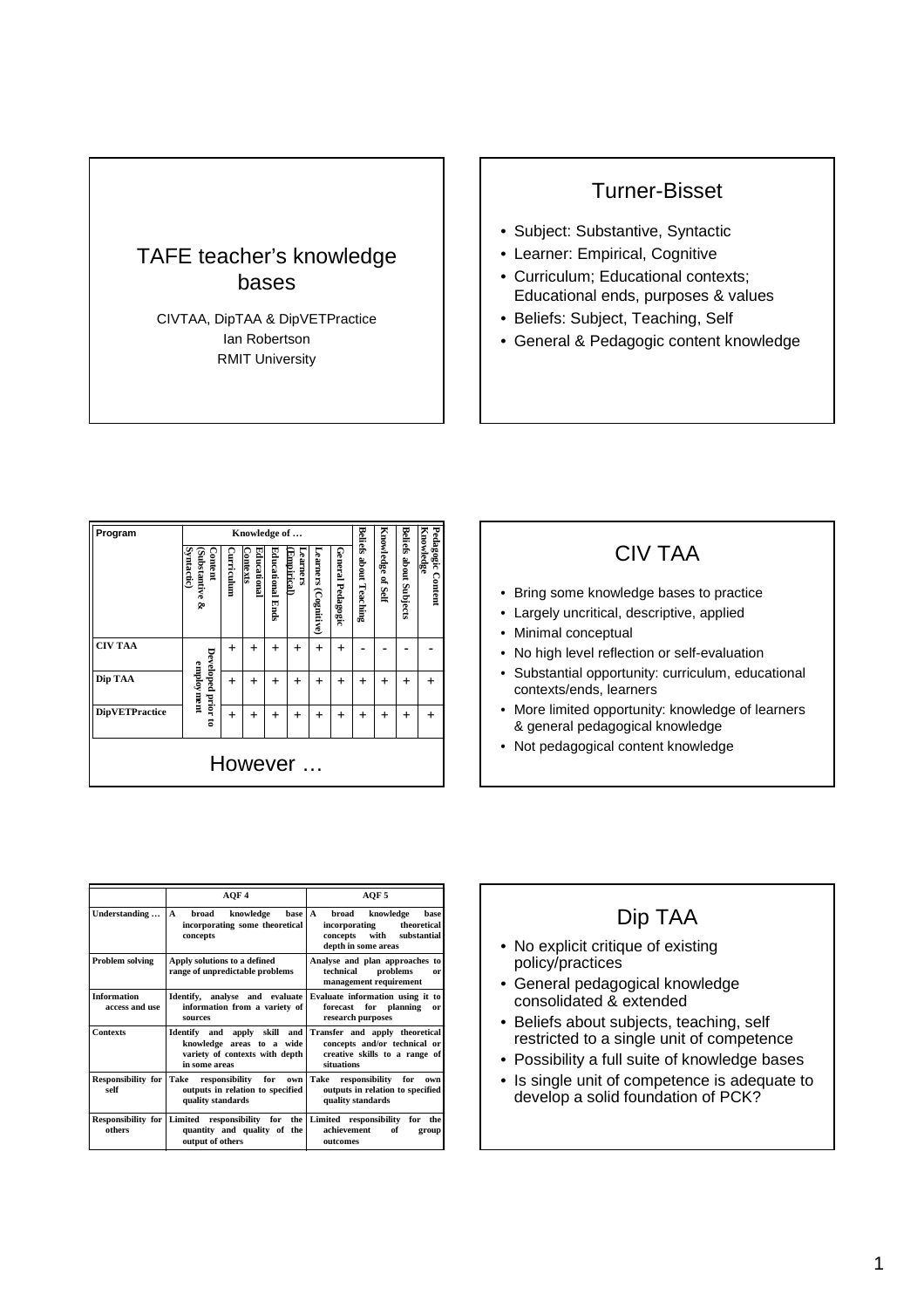# TAFE teacher's knowledge bases

CIVTAA, DipTAA & DipVETPractice Ian Robertson RMIT University

### Turner-Bisset

- Subject: Substantive, Syntactic
- Learner: Empirical, Cognitive
- Curriculum; Educational contexts; Educational ends, purposes & values
- Beliefs: Subject, Teaching, Self
- General & Pedagogic content knowledge

| Program               | Knowledge of                                  |            |                        |                  |                        |                         |                   |                               |                          |                               |                                |
|-----------------------|-----------------------------------------------|------------|------------------------|------------------|------------------------|-------------------------|-------------------|-------------------------------|--------------------------|-------------------------------|--------------------------------|
|                       | <b>Syntactic)</b><br>Substantive &<br>Content | Curriculum | Educational<br>ontexts | Educational Ends | carners.<br>Empirical) | Learners<br>(Cognitive) | General Pedagogic | <b>Beliefs about Teaching</b> | <b>Knowledge of Self</b> | <b>Beliefs about Subjects</b> | Pedagogic Content<br>Knowledge |
| <b>CIV TAA</b>        |                                               | $^{+}$     | $^{+}$                 | $^{+}$           | $^{+}$                 | $^{+}$                  | $^{+}$            |                               |                          |                               |                                |
| Dip TAA               | Developed prior to<br>employment              | $^{+}$     | $^{+}$                 | $^{+}$           | $^{+}$                 | $^{+}$                  | $^{+}$            | $\overline{+}$                | $^{+}$                   | $\ddot{}$                     | $^{+}$                         |
| <b>DipVETPractice</b> |                                               | $\ddot{}$  | $^{+}$                 | $^{+}$           | $^{+}$                 | $^{+}$                  | $^{+}$            | $\overline{+}$                | $\ddot{}$                | $^{+}$                        | $^{+}$                         |
| However               |                                               |            |                        |                  |                        |                         |                   |                               |                          |                               |                                |

#### CIV TAA

- Bring some knowledge bases to practice
- Largely uncritical, descriptive, applied
- Minimal conceptual
- No high level reflection or self-evaluation
- Substantial opportunity: curriculum, educational contexts/ends, learners
- More limited opportunity: knowledge of learners & general pedagogical knowledge
- Not pedagogical content knowledge

|                                      | AOF4                                                                                                                            | AOF 5                                                                                                             |  |  |  |  |  |
|--------------------------------------|---------------------------------------------------------------------------------------------------------------------------------|-------------------------------------------------------------------------------------------------------------------|--|--|--|--|--|
| Understanding                        | broad<br>knowledge<br>base   A<br>$\mathbf{A}$<br>incorporating some theoretical<br>concepts                                    | knowledge<br>broad<br>base<br>theoretical<br>incorporating<br>concepts with<br>substantial<br>depth in some areas |  |  |  |  |  |
| Problem solving                      | Apply solutions to a defined<br>range of unpredictable problems                                                                 | Analyse and plan approaches to<br>technical<br>problems<br>or<br>management requirement                           |  |  |  |  |  |
| <b>Information</b><br>access and use | Identify, analyse and evaluate<br>information from a variety of<br><b>SOUTCES</b>                                               | Evaluate information using it to<br>forecast for planning<br>or<br>research purposes                              |  |  |  |  |  |
| <b>Contexts</b>                      | Identify and apply skill and<br>knowledge areas to a wide<br>variety of contexts with depth<br>in some areas                    | Transfer and apply theoretical<br>concepts and/or technical or<br>creative skills to a range of<br>situations     |  |  |  |  |  |
| self                                 | Responsibility for Take responsibility for own Take<br>outputs in relation to specified<br>quality standards                    | responsibility for<br>own<br>outputs in relation to specified<br>quality standards                                |  |  |  |  |  |
| others                               | Responsibility for Limited responsibility for the Limited responsibility for<br>quantity and quality of the<br>output of others | the<br>achievement<br>of<br>group<br>outcomes                                                                     |  |  |  |  |  |

## Dip TAA

- No explicit critique of existing policy/practices
- General pedagogical knowledge consolidated & extended
- Beliefs about subjects, teaching, self restricted to a single unit of competence
- Possibility a full suite of knowledge bases
- Is single unit of competence is adequate to develop a solid foundation of PCK?